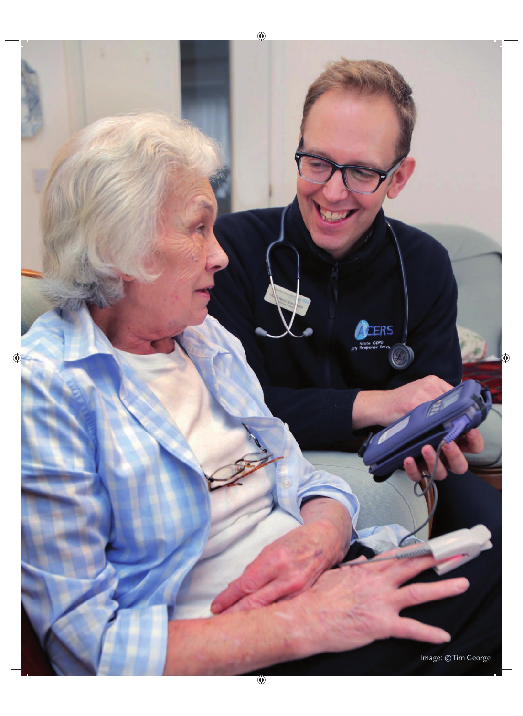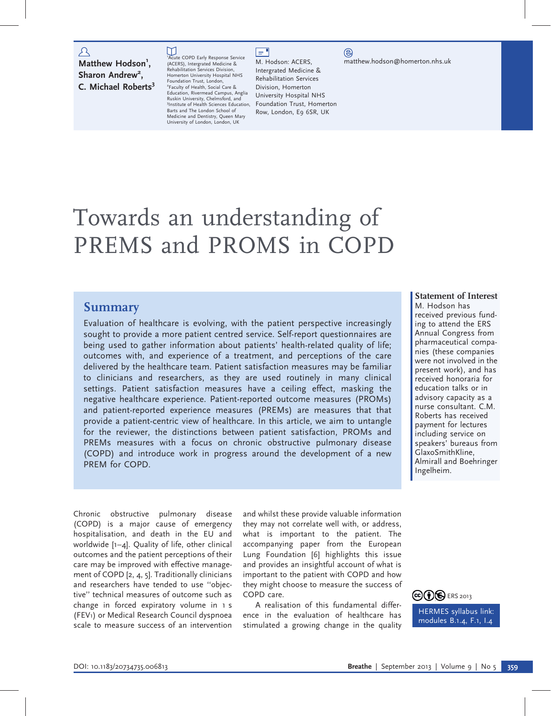## $\mathcal{A}$

Matthew Hodson<sup>1</sup>, Sharon Andrew<sup>2</sup>, C. Michael Roberts<sup>3</sup> M 'Acute COPD Early Response Service (ACERS), Intergrated Medicine & Rehabilitation Services Division, Homerton University Hospital NHS Foundation Trust, London, 2 Faculty of Health, Social Care & Education, Rivermead Campus, Anglia Ruskin University, Chelmsford, and 3 Institute of Health Sciences Education, Barts and The London School of Medicine and Dentistry, Queen Mary University of London, London, UK



M. Hodson: ACERS, Intergrated Medicine & Rehabilitation Services Division, Homerton University Hospital NHS Foundation Trust, Homerton Row, London, E9 6SR, UK

⊜ matthew.hodson@homerton.nhs.uk

# Towards an understanding of PREMS and PROMS in COPD

## Summary

Evaluation of healthcare is evolving, with the patient perspective increasingly sought to provide a more patient centred service. Self-report questionnaires are being used to gather information about patients' health-related quality of life; outcomes with, and experience of a treatment, and perceptions of the care delivered by the healthcare team. Patient satisfaction measures may be familiar to clinicians and researchers, as they are used routinely in many clinical settings. Patient satisfaction measures have a ceiling effect, masking the negative healthcare experience. Patient-reported outcome measures (PROMs) and patient-reported experience measures (PREMs) are measures that that provide a patient-centric view of healthcare. In this article, we aim to untangle for the reviewer, the distinctions between patient satisfaction, PROMs and PREMs measures with a focus on chronic obstructive pulmonary disease (COPD) and introduce work in progress around the development of a new PREM for COPD.

#### Statement of Interest

M. Hodson has received previous funding to attend the ERS Annual Congress from pharmaceutical companies (these companies were not involved in the present work), and has received honoraria for education talks or in advisory capacity as a nurse consultant. C.M. Roberts has received payment for lectures including service on speakers' bureaus from GlaxoSmithKline, Almirall and Boehringer Ingelheim.

Chronic obstructive pulmonary disease (COPD) is a major cause of emergency hospitalisation, and death in the EU and worldwide [1–4]. Quality of life, other clinical outcomes and the patient perceptions of their care may be improved with effective management of COPD [2, 4, 5]. Traditionally clinicians and researchers have tended to use ''objective'' technical measures of outcome such as change in forced expiratory volume in 1 s (FEV1) or Medical Research Council dyspnoea scale to measure success of an intervention and whilst these provide valuable information they may not correlate well with, or address, what is important to the patient. The accompanying paper from the European Lung Foundation [6] highlights this issue and provides an insightful account of what is important to the patient with COPD and how they might choose to measure the success of COPD care.

A realisation of this fundamental difference in the evaluation of healthcare has stimulated a growing change in the quality

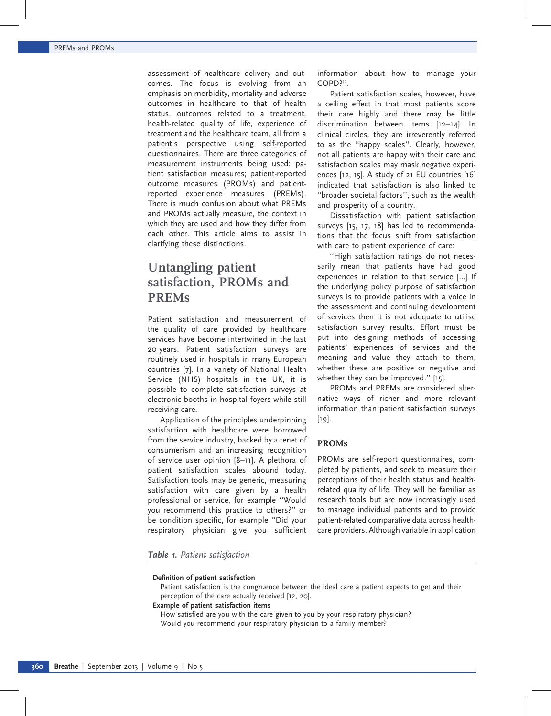assessment of healthcare delivery and outcomes. The focus is evolving from an emphasis on morbidity, mortality and adverse outcomes in healthcare to that of health status, outcomes related to a treatment, health-related quality of life, experience of treatment and the healthcare team, all from a patient's perspective using self-reported questionnaires. There are three categories of measurement instruments being used: patient satisfaction measures; patient-reported outcome measures (PROMs) and patientreported experience measures (PREMs). There is much confusion about what PREMs and PROMs actually measure, the context in which they are used and how they differ from each other. This article aims to assist in clarifying these distinctions.

# Untangling patient satisfaction, PROMs and PREMs

Patient satisfaction and measurement of the quality of care provided by healthcare services have become intertwined in the last 20 years. Patient satisfaction surveys are routinely used in hospitals in many European countries [7]. In a variety of National Health Service (NHS) hospitals in the UK, it is possible to complete satisfaction surveys at electronic booths in hospital foyers while still receiving care.

Application of the principles underpinning satisfaction with healthcare were borrowed from the service industry, backed by a tenet of consumerism and an increasing recognition of service user opinion [8–11]. A plethora of patient satisfaction scales abound today. Satisfaction tools may be generic, measuring satisfaction with care given by a health professional or service, for example ''Would you recommend this practice to others?'' or be condition specific, for example ''Did your respiratory physician give you sufficient

information about how to manage your COPD?''.

Patient satisfaction scales, however, have a ceiling effect in that most patients score their care highly and there may be little discrimination between items [12–14]. In clinical circles, they are irreverently referred to as the ''happy scales''. Clearly, however, not all patients are happy with their care and satisfaction scales may mask negative experiences [12, 15]. A study of 21 EU countries [16] indicated that satisfaction is also linked to ''broader societal factors'', such as the wealth and prosperity of a country.

Dissatisfaction with patient satisfaction surveys [15, 17, 18] has led to recommendations that the focus shift from satisfaction with care to patient experience of care:

''High satisfaction ratings do not necessarily mean that patients have had good experiences in relation to that service […] If the underlying policy purpose of satisfaction surveys is to provide patients with a voice in the assessment and continuing development of services then it is not adequate to utilise satisfaction survey results. Effort must be put into designing methods of accessing patients' experiences of services and the meaning and value they attach to them, whether these are positive or negative and whether they can be improved.'' [15].

PROMs and PREMs are considered alternative ways of richer and more relevant information than patient satisfaction surveys [19].

#### PROMs

PROMs are self-report questionnaires, completed by patients, and seek to measure their perceptions of their health status and healthrelated quality of life. They will be familiar as research tools but are now increasingly used to manage individual patients and to provide patient-related comparative data across healthcare providers. Although variable in application

Table 1. Patient satisfaction

#### Definition of patient satisfaction

Patient satisfaction is the congruence between the ideal care a patient expects to get and their perception of the care actually received [12, 20].

#### Example of patient satisfaction items

How satisfied are you with the care given to you by your respiratory physician? Would you recommend your respiratory physician to a family member?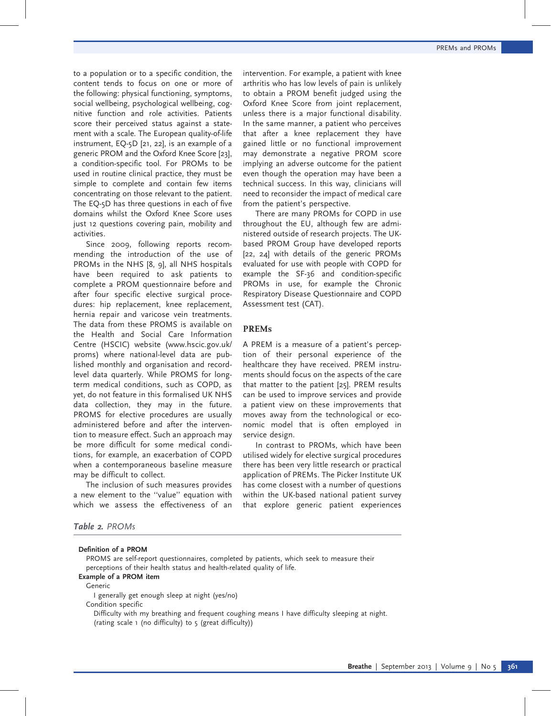to a population or to a specific condition, the content tends to focus on one or more of the following: physical functioning, symptoms, social wellbeing, psychological wellbeing, cognitive function and role activities. Patients score their perceived status against a statement with a scale. The European quality-of-life instrument, EQ-5D [21, 22], is an example of a generic PROM and the Oxford Knee Score [23], a condition-specific tool. For PROMs to be used in routine clinical practice, they must be simple to complete and contain few items concentrating on those relevant to the patient. The EQ-5D has three questions in each of five domains whilst the Oxford Knee Score uses just 12 questions covering pain, mobility and activities.

Since 2009, following reports recommending the introduction of the use of PROMs in the NHS [8, 9], all NHS hospitals have been required to ask patients to complete a PROM questionnaire before and after four specific elective surgical procedures: hip replacement, knee replacement, hernia repair and varicose vein treatments. The data from these PROMS is available on the Health and Social Care Information Centre (HSCIC) website (www.hscic.gov.uk/ proms) where national-level data are published monthly and organisation and recordlevel data quarterly. While PROMS for longterm medical conditions, such as COPD, as yet, do not feature in this formalised UK NHS data collection, they may in the future. PROMS for elective procedures are usually administered before and after the intervention to measure effect. Such an approach may be more difficult for some medical conditions, for example, an exacerbation of COPD when a contemporaneous baseline measure may be difficult to collect.

The inclusion of such measures provides a new element to the ''value'' equation with which we assess the effectiveness of an intervention. For example, a patient with knee arthritis who has low levels of pain is unlikely to obtain a PROM benefit judged using the Oxford Knee Score from joint replacement, unless there is a major functional disability. In the same manner, a patient who perceives that after a knee replacement they have gained little or no functional improvement may demonstrate a negative PROM score implying an adverse outcome for the patient even though the operation may have been a technical success. In this way, clinicians will need to reconsider the impact of medical care from the patient's perspective.

There are many PROMs for COPD in use throughout the EU, although few are administered outside of research projects. The UKbased PROM Group have developed reports [22, 24] with details of the generic PROMs evaluated for use with people with COPD for example the SF-36 and condition-specific PROMs in use, for example the Chronic Respiratory Disease Questionnaire and COPD Assessment test (CAT).

### PREMs

A PREM is a measure of a patient's perception of their personal experience of the healthcare they have received. PREM instruments should focus on the aspects of the care that matter to the patient [25]. PREM results can be used to improve services and provide a patient view on these improvements that moves away from the technological or economic model that is often employed in service design.

In contrast to PROMs, which have been utilised widely for elective surgical procedures there has been very little research or practical application of PREMs. The Picker Institute UK has come closest with a number of questions within the UK-based national patient survey that explore generic patient experiences

Table 2. PROMs

### Definition of a PROM

PROMS are self-report questionnaires, completed by patients, which seek to measure their perceptions of their health status and health-related quality of life. Example of a PROM item

#### Generic

I generally get enough sleep at night (yes/no)

Condition specific

Difficulty with my breathing and frequent coughing means I have difficulty sleeping at night. (rating scale 1 (no difficulty) to 5 (great difficulty))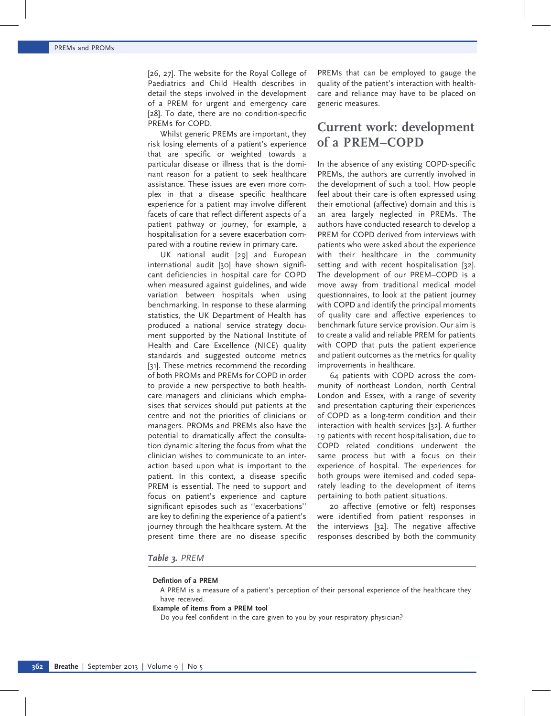[26, 27]. The website for the Royal College of Paediatrics and Child Health describes in detail the steps involved in the development of a PREM for urgent and emergency care [28]. To date, there are no condition-specific PREMs for COPD.

Whilst generic PREMs are important, they risk losing elements of a patient's experience that are specific or weighted towards a particular disease or illness that is the dominant reason for a patient to seek healthcare assistance. These issues are even more complex in that a disease specific healthcare experience for a patient may involve different facets of care that reflect different aspects of a patient pathway or journey, for example, a hospitalisation for a severe exacerbation compared with a routine review in primary care.

UK national audit [29] and European international audit [30] have shown significant deficiencies in hospital care for COPD when measured against guidelines, and wide variation between hospitals when using benchmarking. In response to these alarming statistics, the UK Department of Health has produced a national service strategy document supported by the National Institute of Health and Care Excellence (NICE) quality standards and suggested outcome metrics [31]. These metrics recommend the recording of both PROMs and PREMs for COPD in order to provide a new perspective to both healthcare managers and clinicians which emphasises that services should put patients at the centre and not the priorities of clinicians or managers. PROMs and PREMs also have the potential to dramatically affect the consultation dynamic altering the focus from what the clinician wishes to communicate to an interaction based upon what is important to the patient. In this context, a disease specific PREM is essential. The need to support and focus on patient's experience and capture significant episodes such as ''exacerbations'' are key to defining the experience of a patient's journey through the healthcare system. At the present time there are no disease specific

PREMs that can be employed to gauge the quality of the patient's interaction with healthcare and reliance may have to be placed on generic measures.

## Current work: development of a PREM–COPD

In the absence of any existing COPD-specific PREMs, the authors are currently involved in the development of such a tool. How people feel about their care is often expressed using their emotional (affective) domain and this is an area largely neglected in PREMs. The authors have conducted research to develop a PREM for COPD derived from interviews with patients who were asked about the experience with their healthcare in the community setting and with recent hospitalisation [32]. The development of our PREM–COPD is a move away from traditional medical model questionnaires, to look at the patient journey with COPD and identify the principal moments of quality care and affective experiences to benchmark future service provision. Our aim is to create a valid and reliable PREM for patients with COPD that puts the patient experience and patient outcomes as the metrics for quality improvements in healthcare.

64 patients with COPD across the community of northeast London, north Central London and Essex, with a range of severity and presentation capturing their experiences of COPD as a long-term condition and their interaction with health services [32]. A further 19 patients with recent hospitalisation, due to COPD related conditions underwent the same process but with a focus on their experience of hospital. The experiences for both groups were itemised and coded separately leading to the development of items pertaining to both patient situations.

20 affective (emotive or felt) responses were identified from patient responses in the interviews [32]. The negative affective responses described by both the community

Table 3. PREM

#### Defintion of a PREM

Example of items from a PREM tool

Do you feel confident in the care given to you by your respiratory physician?

A PREM is a measure of a patient's perception of their personal experience of the healthcare they have received.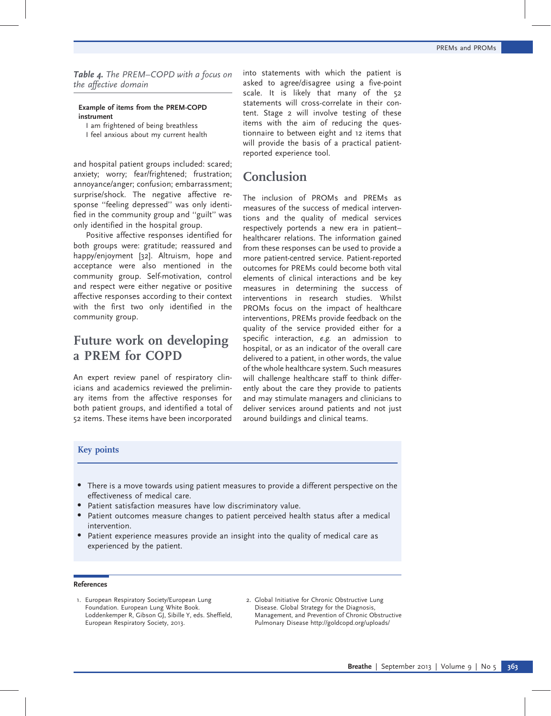Table 4. The PREM–COPD with a focus on the affective domain

#### Example of items from the PREM-COPD instrument

I am frightened of being breathless I feel anxious about my current health

and hospital patient groups included: scared; anxiety; worry; fear/frightened; frustration; annoyance/anger; confusion; embarrassment; surprise/shock. The negative affective response ''feeling depressed'' was only identified in the community group and ''guilt'' was only identified in the hospital group.

Positive affective responses identified for both groups were: gratitude; reassured and happy/enjoyment [32]. Altruism, hope and acceptance were also mentioned in the community group. Self-motivation, control and respect were either negative or positive affective responses according to their context with the first two only identified in the community group.

# Future work on developing a PREM for COPD

An expert review panel of respiratory clinicians and academics reviewed the preliminary items from the affective responses for both patient groups, and identified a total of 52 items. These items have been incorporated

into statements with which the patient is asked to agree/disagree using a five-point scale. It is likely that many of the 52 statements will cross-correlate in their content. Stage 2 will involve testing of these items with the aim of reducing the questionnaire to between eight and 12 items that will provide the basis of a practical patientreported experience tool.

## Conclusion

The inclusion of PROMs and PREMs as measures of the success of medical interventions and the quality of medical services respectively portends a new era in patient– healthcarer relations. The information gained from these responses can be used to provide a more patient-centred service. Patient-reported outcomes for PREMs could become both vital elements of clinical interactions and be key measures in determining the success of interventions in research studies. Whilst PROMs focus on the impact of healthcare interventions, PREMs provide feedback on the quality of the service provided either for a specific interaction, e.g. an admission to hospital, or as an indicator of the overall care delivered to a patient, in other words, the value of the whole healthcare system. Such measures will challenge healthcare staff to think differently about the care they provide to patients and may stimulate managers and clinicians to deliver services around patients and not just around buildings and clinical teams.

## Key points

- There is a move towards using patient measures to provide a different perspective on the effectiveness of medical care.
- Patient satisfaction measures have low discriminatory value.
- Patient outcomes measure changes to patient perceived health status after a medical intervention.
- Patient experience measures provide an insight into the quality of medical care as experienced by the patient.

#### References

- 1. European Respiratory Society/European Lung Foundation. European Lung White Book. Loddenkemper R, Gibson GJ, Sibille Y, eds. Sheffield, European Respiratory Society, 2013.
- 2. Global Initiative for Chronic Obstructive Lung Disease. Global Strategy for the Diagnosis, Management, and Prevention of Chronic Obstructive Pulmonary Disease http://goldcopd.org/uploads/